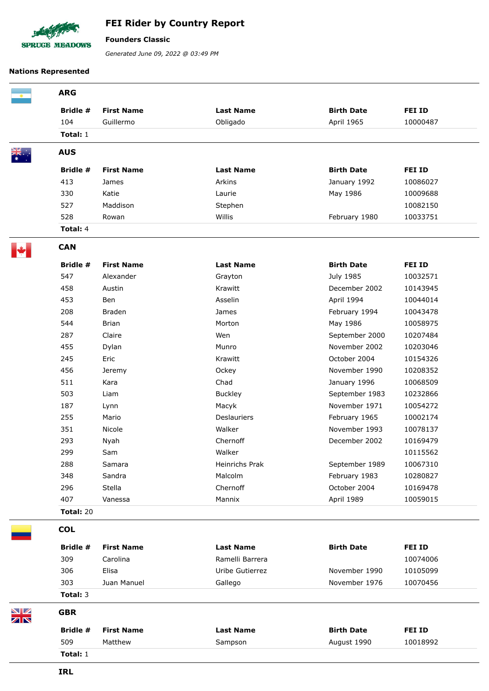

## **FEI Rider by Country Report**

**Founders Classic**

*Generated June 09, 2022 @ 03:49 PM*

## **Nations Represented**

|                                         | <b>ARG</b>       |                   |                  |                   |               |
|-----------------------------------------|------------------|-------------------|------------------|-------------------|---------------|
|                                         | Bridle #         | <b>First Name</b> | <b>Last Name</b> | <b>Birth Date</b> | FEI ID        |
|                                         | 104              | Guillermo         | Obligado         | April 1965        | 10000487      |
|                                         | Total: 1         |                   |                  |                   |               |
|                                         | <b>AUS</b>       |                   |                  |                   |               |
|                                         | Bridle #         | <b>First Name</b> | <b>Last Name</b> | <b>Birth Date</b> | <b>FEI ID</b> |
|                                         | 413              | James             | Arkins           | January 1992      | 10086027      |
|                                         | 330              | Katie             | Laurie           | May 1986          | 10009688      |
|                                         | 527              | Maddison          | Stephen          |                   | 10082150      |
|                                         | 528              | Rowan             | Willis           | February 1980     | 10033751      |
|                                         | Total: 4         |                   |                  |                   |               |
|                                         | <b>CAN</b>       |                   |                  |                   |               |
|                                         | Bridle #         | <b>First Name</b> | <b>Last Name</b> | <b>Birth Date</b> | <b>FEI ID</b> |
|                                         | 547              | Alexander         | Grayton          | July 1985         | 10032571      |
|                                         | 458              | Austin            | Krawitt          | December 2002     | 10143945      |
|                                         | 453              | Ben               | Asselin          | April 1994        | 10044014      |
|                                         | 208              | <b>Braden</b>     | James            | February 1994     | 10043478      |
|                                         | 544              | <b>Brian</b>      | Morton           | May 1986          | 10058975      |
|                                         | 287              | Claire            | Wen              | September 2000    | 10207484      |
|                                         | 455              | Dylan             | Munro            | November 2002     | 10203046      |
|                                         | 245              | Eric              | Krawitt          | October 2004      | 10154326      |
|                                         | 456              | Jeremy            | Ockey            | November 1990     | 10208352      |
|                                         | 511              | Kara              | Chad             | January 1996      | 10068509      |
|                                         | 503              | Liam              | <b>Buckley</b>   | September 1983    | 10232866      |
|                                         | 187              | Lynn              | Macyk            | November 1971     | 10054272      |
|                                         | 255              | Mario             | Deslauriers      | February 1965     | 10002174      |
|                                         | 351              | Nicole            | Walker           | November 1993     | 10078137      |
|                                         | 293              | Nyah              | Chernoff         | December 2002     | 10169479      |
|                                         | 299              | ${\sf Sam}$       | Walker           |                   | 10115562      |
|                                         | 288              | Samara            | Heinrichs Prak   | September 1989    | 10067310      |
|                                         | 348              | Sandra            | Malcolm          | February 1983     | 10280827      |
|                                         | 296              | Stella            | Chernoff         | October 2004      | 10169478      |
|                                         | 407              | Vanessa           | Mannix           | April 1989        | 10059015      |
|                                         | <b>Total: 20</b> |                   |                  |                   |               |
|                                         | <b>COL</b>       |                   |                  |                   |               |
|                                         | Bridle #         | <b>First Name</b> | <b>Last Name</b> | <b>Birth Date</b> | FEI ID        |
|                                         | 309              | Carolina          | Ramelli Barrera  |                   | 10074006      |
|                                         | 306              | Elisa             | Uribe Gutierrez  | November 1990     | 10105099      |
|                                         | 303              | Juan Manuel       | Gallego          | November 1976     | 10070456      |
|                                         | Total: 3         |                   |                  |                   |               |
| ◥◪<br>$\overline{\mathbb{Z}}\mathbb{N}$ | <b>GBR</b>       |                   |                  |                   |               |
|                                         | Bridle #         | <b>First Name</b> | <b>Last Name</b> | <b>Birth Date</b> | <b>FEI ID</b> |
|                                         | 509              | Matthew           | Sampson          | August 1990       | 10018992      |
|                                         | Total: 1         |                   |                  |                   |               |
|                                         |                  |                   |                  |                   |               |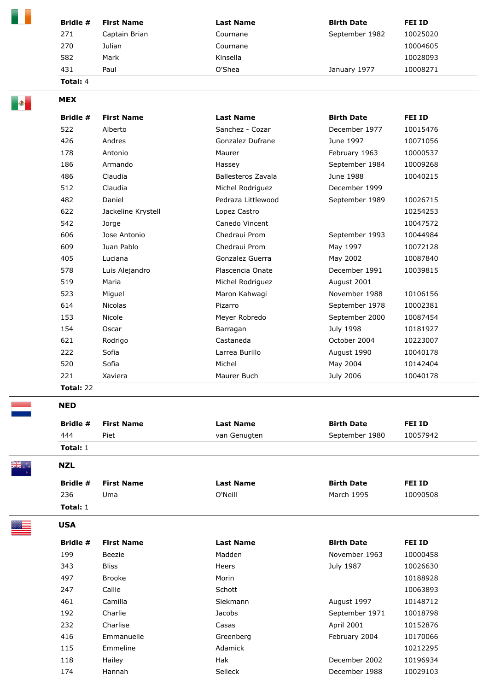| Captain Brian | Cournane | September 1982     | 10025020 |
|---------------|----------|--------------------|----------|
|               |          |                    |          |
| Julian        | Cournane |                    | 10004605 |
|               |          |                    | 10028093 |
|               |          | January 1977       | 10008271 |
|               |          | Kinsella<br>O'Shea |          |

| <b>MEX</b>       |                    |                    |                   |          |
|------------------|--------------------|--------------------|-------------------|----------|
| Bridle #         | <b>First Name</b>  | <b>Last Name</b>   | <b>Birth Date</b> | FEI ID   |
| 522              | Alberto            | Sanchez - Cozar    | December 1977     | 10015476 |
| 426              | Andres             | Gonzalez Dufrane   | June 1997         | 10071056 |
| 178              | Antonio            | Maurer             | February 1963     | 10000537 |
| 186              | Armando            | Hassey             | September 1984    | 10009268 |
| 486              | Claudia            | Ballesteros Zavala | June 1988         | 10040215 |
| 512              | Claudia            | Michel Rodriguez   | December 1999     |          |
| 482              | Daniel             | Pedraza Littlewood | September 1989    | 10026715 |
| 622              | Jackeline Krystell | Lopez Castro       |                   | 10254253 |
| 542              | Jorge              | Canedo Vincent     |                   | 10047572 |
| 606              | Jose Antonio       | Chedraui Prom      | September 1993    | 10044984 |
| 609              | Juan Pablo         | Chedraui Prom      | May 1997          | 10072128 |
| 405              | Luciana            | Gonzalez Guerra    | May 2002          | 10087840 |
| 578              | Luis Alejandro     | Plascencia Onate   | December 1991     | 10039815 |
| 519              | Maria              | Michel Rodriguez   | August 2001       |          |
| 523              | Miguel             | Maron Kahwagi      | November 1988     | 10106156 |
| 614              | <b>Nicolas</b>     | Pizarro            | September 1978    | 10002381 |
| 153              | Nicole             | Meyer Robredo      | September 2000    | 10087454 |
| 154              | Oscar              | Barragan           | July 1998         | 10181927 |
| 621              | Rodrigo            | Castaneda          | October 2004      | 10223007 |
| 222              | Sofia              | Larrea Burillo     | August 1990       | 10040178 |
| 520              | Sofia              | Michel             | May 2004          | 10142404 |
| 221              | Xaviera            | Maurer Buch        | July 2006         | 10040178 |
| <b>Total: 22</b> |                    |                    |                   |          |
| <b>NED</b>       |                    |                    |                   |          |

## ۳

| Bridle #   | <b>First Name</b> | <b>Last Name</b> | <b>Birth Date</b> | <b>FEI ID</b> |  |
|------------|-------------------|------------------|-------------------|---------------|--|
| 444        | Piet              | van Genugten     | September 1980    | 10057942      |  |
| Total: $1$ |                   |                  |                   |               |  |

\*\*\*\*\*\*<br>NK\*\*\*

**NZL** 

**USA** 

|                 | <b>Bridle # First Name</b> | <b>Last Name</b> | <b>Birth Date</b> | FEI ID   |
|-----------------|----------------------------|------------------|-------------------|----------|
| 236             | Uma                        | O'Neill          | March 1995        | 10090508 |
| <b>Total:</b> 1 |                            |                  |                   |          |

| Bridle # | <b>First Name</b> | <b>Last Name</b> | <b>Birth Date</b> | FEI ID   |
|----------|-------------------|------------------|-------------------|----------|
| 199      | Beezie            | Madden           | November 1963     | 10000458 |
| 343      | <b>Bliss</b>      | Heers            | July 1987         | 10026630 |
| 497      | <b>Brooke</b>     | Morin            |                   | 10188928 |
| 247      | Callie            | Schott           |                   | 10063893 |
| 461      | Camilla           | Siekmann         | August 1997       | 10148712 |
| 192      | Charlie           | Jacobs           | September 1971    | 10018798 |
| 232      | Charlise          | Casas            | <b>April 2001</b> | 10152876 |
| 416      | Emmanuelle        | Greenberg        | February 2004     | 10170066 |
| 115      | Emmeline          | Adamick          |                   | 10212295 |
| 118      | Hailey            | Hak              | December 2002     | 10196934 |
| 174      | Hannah            | Selleck          | December 1988     | 10029103 |



- 7